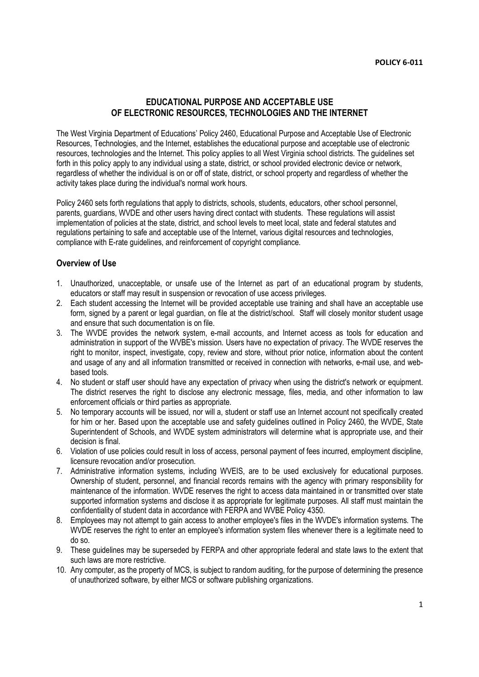# **EDUCATIONAL PURPOSE AND ACCEPTABLE USE OF ELECTRONIC RESOURCES, TECHNOLOGIES AND THE INTERNET**

The West Virginia Department of Educations' Policy 2460, Educational Purpose and Acceptable Use of Electronic Resources, Technologies, and the Internet, establishes the educational purpose and acceptable use of electronic resources, technologies and the Internet. This policy applies to all West Virginia school districts. The guidelines set forth in this policy apply to any individual using a state, district, or school provided electronic device or network, regardless of whether the individual is on or off of state, district, or school property and regardless of whether the activity takes place during the individual's normal work hours.

Policy 2460 sets forth regulations that apply to districts, schools, students, educators, other school personnel, parents, guardians, WVDE and other users having direct contact with students. These regulations will assist implementation of policies at the state, district, and school levels to meet local, state and federal statutes and regulations pertaining to safe and acceptable use of the Internet, various digital resources and technologies, compliance with E-rate guidelines, and reinforcement of copyright compliance.

### **Overview of Use**

- 1. Unauthorized, unacceptable, or unsafe use of the Internet as part of an educational program by students, educators or staff may result in suspension or revocation of use access privileges.
- 2. Each student accessing the Internet will be provided acceptable use training and shall have an acceptable use form, signed by a parent or legal guardian, on file at the district/school. Staff will closely monitor student usage and ensure that such documentation is on file.
- 3. The WVDE provides the network system, e-mail accounts, and Internet access as tools for education and administration in support of the WVBE's mission. Users have no expectation of privacy. The WVDE reserves the right to monitor, inspect, investigate, copy, review and store, without prior notice, information about the content and usage of any and all information transmitted or received in connection with networks, e-mail use, and webbased tools.
- 4. No student or staff user should have any expectation of privacy when using the district's network or equipment. The district reserves the right to disclose any electronic message, files, media, and other information to law enforcement officials or third parties as appropriate.
- 5. No temporary accounts will be issued, nor will a, student or staff use an Internet account not specifically created for him or her. Based upon the acceptable use and safety guidelines outlined in Policy 2460, the WVDE, State Superintendent of Schools, and WVDE system administrators will determine what is appropriate use, and their decision is final.
- 6. Violation of use policies could result in loss of access, personal payment of fees incurred, employment discipline, licensure revocation and/or prosecution.
- 7. Administrative information systems, including WVEIS, are to be used exclusively for educational purposes. Ownership of student, personnel, and financial records remains with the agency with primary responsibility for maintenance of the information. WVDE reserves the right to access data maintained in or transmitted over state supported information systems and disclose it as appropriate for legitimate purposes. All staff must maintain the confidentiality of student data in accordance with FERPA and WVBE Policy 4350.
- 8. Employees may not attempt to gain access to another employee's files in the WVDE's information systems. The WVDE reserves the right to enter an employee's information system files whenever there is a legitimate need to do so.
- 9. These guidelines may be superseded by FERPA and other appropriate federal and state laws to the extent that such laws are more restrictive.
- 10. Any computer, as the property of MCS, is subject to random auditing, for the purpose of determining the presence of unauthorized software, by either MCS or software publishing organizations.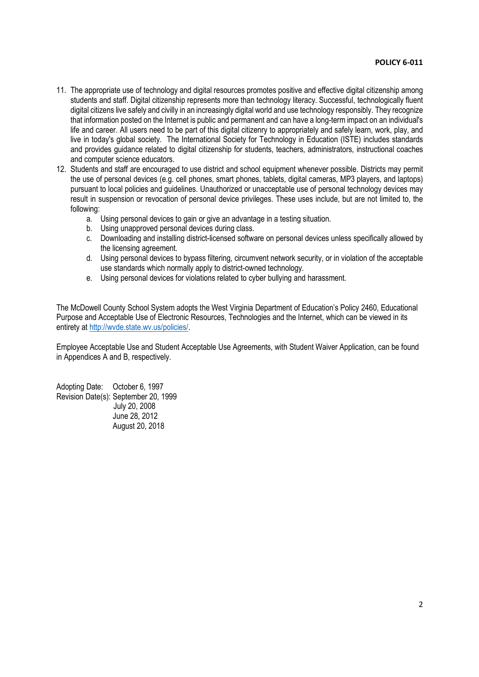- 11. The appropriate use of technology and digital resources promotes positive and effective digital citizenship among students and staff. Digital citizenship represents more than technology literacy. Successful, technologically fluent digital citizens live safely and civilly in an increasingly digital world and use technology responsibly. They recognize that information posted on the Internet is public and permanent and can have a long-term impact on an individual's life and career. All users need to be part of this digital citizenry to appropriately and safely learn, work, play, and live in today's global society. The International Society for Technology in Education (ISTE) includes standards and provides guidance related to digital citizenship for students, teachers, administrators, instructional coaches and computer science educators.
- 12. Students and staff are encouraged to use district and school equipment whenever possible. Districts may permit the use of personal devices (e.g. cell phones, smart phones, tablets, digital cameras, MP3 players, and laptops) pursuant to local policies and guidelines. Unauthorized or unacceptable use of personal technology devices may result in suspension or revocation of personal device privileges. These uses include, but are not limited to, the following:
	- a. Using personal devices to gain or give an advantage in a testing situation.
	- b. Using unapproved personal devices during class.
	- c. Downloading and installing district-licensed software on personal devices unless specifically allowed by the licensing agreement.
	- d. Using personal devices to bypass filtering, circumvent network security, or in violation of the acceptable use standards which normally apply to district-owned technology.
	- e. Using personal devices for violations related to cyber bullying and harassment.

The McDowell County School System adopts the West Virginia Department of Education's Policy 2460, Educational Purpose and Acceptable Use of Electronic Resources, Technologies and the Internet, which can be viewed in its entirety at http://wvde.state.wv.us/policies/.

Employee Acceptable Use and Student Acceptable Use Agreements, with Student Waiver Application, can be found in Appendices A and B, respectively.

Adopting Date: October 6, 1997 Revision Date(s): September 20, 1999 July 20, 2008 June 28, 2012 August 20, 2018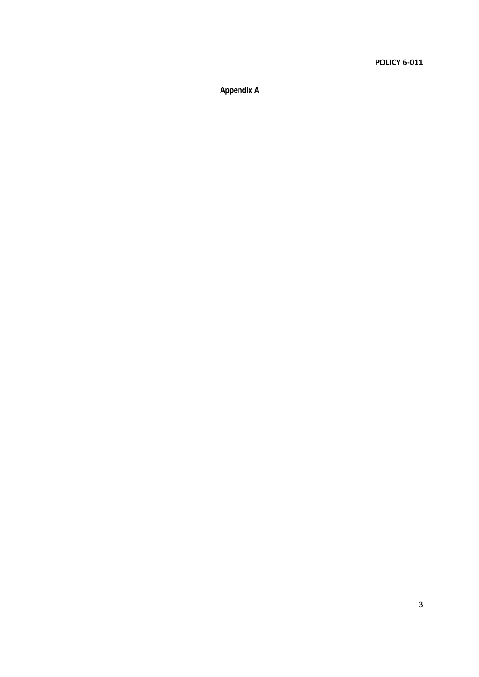**Appendix A**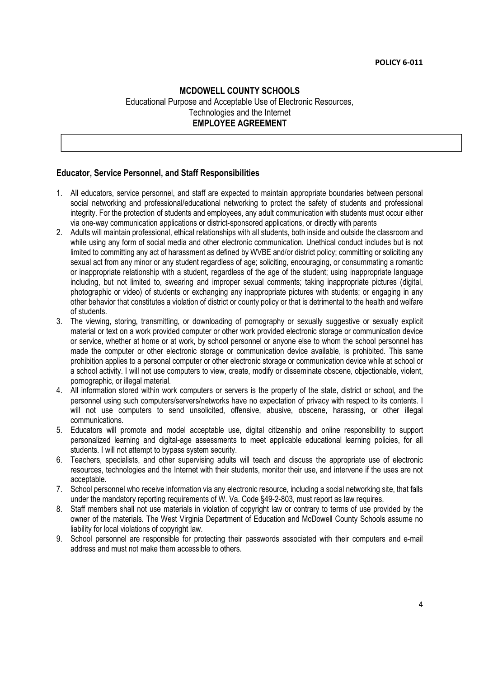# **MCDOWELL COUNTY SCHOOLS** Educational Purpose and Acceptable Use of Electronic Resources, Technologies and the Internet **EMPLOYEE AGREEMENT**

### **Educator, Service Personnel, and Staff Responsibilities**

- 1. All educators, service personnel, and staff are expected to maintain appropriate boundaries between personal social networking and professional/educational networking to protect the safety of students and professional integrity. For the protection of students and employees, any adult communication with students must occur either via one-way communication applications or district-sponsored applications, or directly with parents
- 2. Adults will maintain professional, ethical relationships with all students, both inside and outside the classroom and while using any form of social media and other electronic communication. Unethical conduct includes but is not limited to committing any act of harassment as defined by WVBE and/or district policy; committing or soliciting any sexual act from any minor or any student regardless of age; soliciting, encouraging, or consummating a romantic or inappropriate relationship with a student, regardless of the age of the student; using inappropriate language including, but not limited to, swearing and improper sexual comments; taking inappropriate pictures (digital, photographic or video) of students or exchanging any inappropriate pictures with students; or engaging in any other behavior that constitutes a violation of district or county policy or that is detrimental to the health and welfare of students.
- 3. The viewing, storing, transmitting, or downloading of pornography or sexually suggestive or sexually explicit material or text on a work provided computer or other work provided electronic storage or communication device or service, whether at home or at work, by school personnel or anyone else to whom the school personnel has made the computer or other electronic storage or communication device available, is prohibited. This same prohibition applies to a personal computer or other electronic storage or communication device while at school or a school activity. I will not use computers to view, create, modify or disseminate obscene, objectionable, violent, pornographic, or illegal material.
- 4. All information stored within work computers or servers is the property of the state, district or school, and the personnel using such computers/servers/networks have no expectation of privacy with respect to its contents. I will not use computers to send unsolicited, offensive, abusive, obscene, harassing, or other illegal communications.
- 5. Educators will promote and model acceptable use, digital citizenship and online responsibility to support personalized learning and digital-age assessments to meet applicable educational learning policies, for all students. I will not attempt to bypass system security.
- 6. Teachers, specialists, and other supervising adults will teach and discuss the appropriate use of electronic resources, technologies and the Internet with their students, monitor their use, and intervene if the uses are not acceptable.
- 7. School personnel who receive information via any electronic resource, including a social networking site, that falls under the mandatory reporting requirements of W. Va. Code §49-2-803, must report as law requires.
- 8. Staff members shall not use materials in violation of copyright law or contrary to terms of use provided by the owner of the materials. The West Virginia Department of Education and McDowell County Schools assume no liability for local violations of copyright law.
- 9. School personnel are responsible for protecting their passwords associated with their computers and e-mail address and must not make them accessible to others.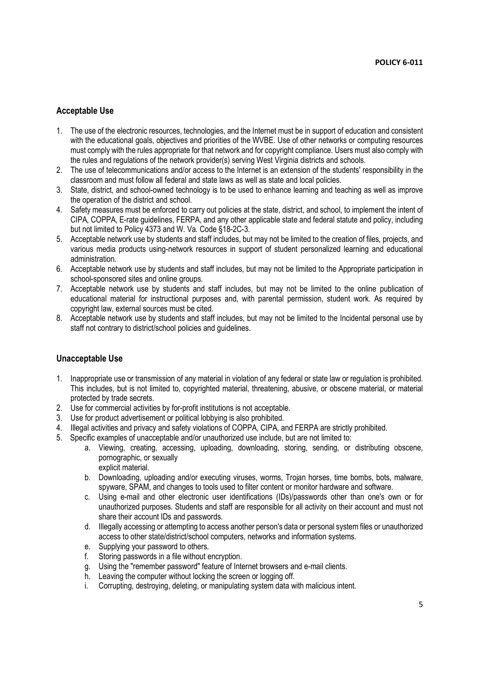## **Acceptable Use**

- 1. The use of the electronic resources, technologies, and the Internet must be in support of education and consistent with the educational goals, objectives and priorities of the WVBE. Use of other networks or computing resources must comply with the rules appropriate for that network and for copyright compliance. Users must also comply with the rules and regulations of the network provider(s) serving West Virginia districts and schools.
- 2. The use of telecommunications and/or access to the Internet is an extension of the students' responsibility in the classroom and must follow all federal and state laws as well as state and local policies.
- 3. State, district, and school-owned technology is to be used to enhance learning and teaching as well as improve the operation of the district and school.
- 4. Safety measures must be enforced to carry out policies at the state, district, and school, to implement the intent of CIPA, COPPA, E-rate guidelines, FERPA, and any other applicable state and federal statute and policy, including but not limited to Policy 4373 and W. Va. Code §18-2C-3.
- 5. Acceptable network use by students and staff includes, but may not be limited to the creation of files, projects, and various media products using-network resources in support of student personalized learning and educational administration.
- 6. Acceptable network use by students and staff includes, but may not be limited to the Appropriate participation in school-sponsored sites and online groups.
- 7. Acceptable network use by students and staff includes, but may not be limited to the online publication of educational material for instructional purposes and, with parental permission, student work. As required by copyright law, external sources must be cited.
- 8. Acceptable network use by students and staff includes, but may not be limited to the Incidental personal use by staff not contrary to district/school policies and guidelines.

## **Unacceptable Use**

- 1. Inappropriate use or transmission of any material in violation of any federal or state law or regulation is prohibited. This includes, but is not limited to, copyrighted material, threatening, abusive, or obscene material, or material protected by trade secrets.
- 2. Use for commercial activities by for-profit institutions is not acceptable.
- 3. Use for product advertisement or political lobbying is also prohibited.
- 4. Illegal activities and privacy and safety violations of COPPA, CIPA, and FERPA are strictly prohibited.
- 5. Specific examples of unacceptable and/or unauthorized use include, but are not limited to:
	- a. Viewing, creating, accessing, uploading, downloading, storing, sending, or distributing obscene, pornographic, or sexually explicit material.
	- b. Downloading, uploading and/or executing viruses, worms, Trojan horses, time bombs, bots, malware, spyware, SPAM, and changes to tools used to filter content or monitor hardware and software.
	- c. Using e-mail and other electronic user identifications (IDs)/passwords other than one's own or for unauthorized purposes. Students and staff are responsible for all activity on their account and must not share their account IDs and passwords.
	- d. Illegally accessing or attempting to access another person's data or personal system files or unauthorized access to other state/district/school computers, networks and information systems.
	- e. Supplying your password to others.
	- f. Storing passwords in a file without encryption.
	- g. Using the "remember password" feature of Internet browsers and e-mail clients.
	- h. Leaving the computer without locking the screen or logging off.
	- i. Corrupting, destroying, deleting, or manipulating system data with malicious intent.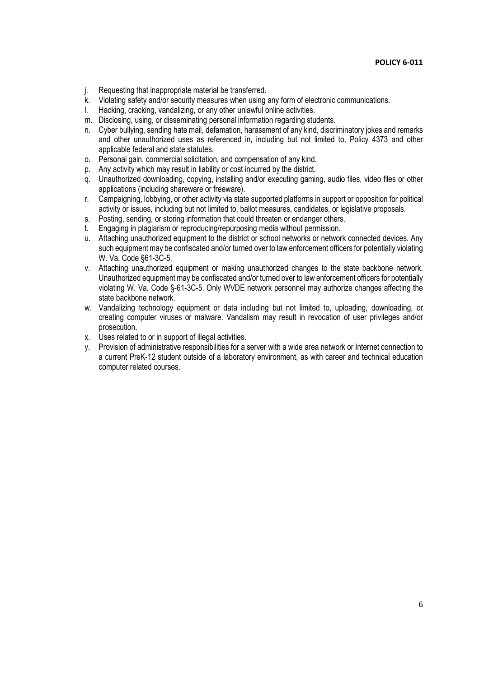- j. Requesting that inappropriate material be transferred.
- k. Violating safety and/or security measures when using any form of electronic communications.
- l. Hacking, cracking, vandalizing, or any other unlawful online activities.
- m. Disclosing, using, or disseminating personal information regarding students.
- n. Cyber bullying, sending hate mail, defamation, harassment of any kind, discriminatory jokes and remarks and other unauthorized uses as referenced in, including but not limited to, Policy 4373 and other applicable federal and state statutes.
- o. Personal gain, commercial solicitation, and compensation of any kind.
- p. Any activity which may result in liability or cost incurred by the district.
- q. Unauthorized downloading, copying, installing and/or executing gaming, audio files, video files or other applications (including shareware or freeware).
- r. Campaigning, lobbying, or other activity via state supported platforms in support or opposition for political activity or issues, including but not limited to, ballot measures, candidates, or legislative proposals.
- s. Posting, sending, or storing information that could threaten or endanger others.
- t. Engaging in plagiarism or reproducing/repurposing media without permission.
- u. Attaching unauthorized equipment to the district or school networks or network connected devices. Any such equipment may be confiscated and/or turned over to law enforcement officers for potentially violating W. Va. Code §61-3C-5.
- v. Attaching unauthorized equipment or making unauthorized changes to the state backbone network. Unauthorized equipment may be confiscated and/or turned over to law enforcement officers for potentially violating W. Va. Code §-61-3C-5. Only WVDE network personnel may authorize changes affecting the state backbone network.
- w. Vandalizing technology equipment or data including but not limited to, uploading, downloading, or creating computer viruses or malware. Vandalism may result in revocation of user privileges and/or prosecution.
- x. Uses related to or in support of illegal activities.
- y. Provision of administrative responsibilities for a server with a wide area network or Internet connection to a current PreK-12 student outside of a laboratory environment, as with career and technical education computer related courses.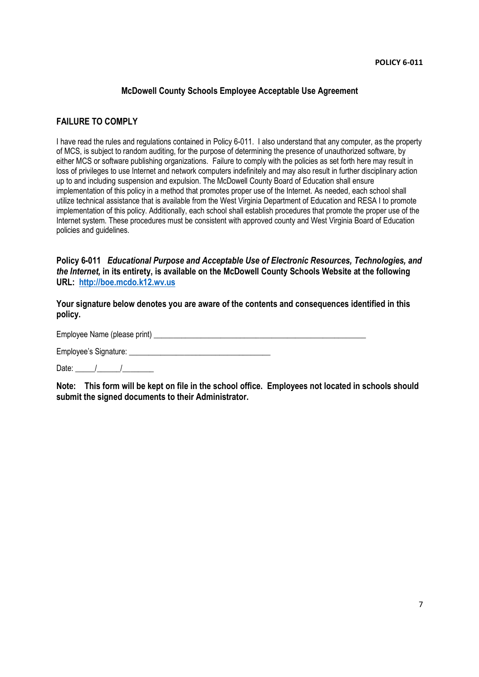# **McDowell County Schools Employee Acceptable Use Agreement**

## **FAILURE TO COMPLY**

I have read the rules and regulations contained in Policy 6-011. I also understand that any computer, as the property of MCS, is subject to random auditing, for the purpose of determining the presence of unauthorized software, by either MCS or software publishing organizations. Failure to comply with the policies as set forth here may result in loss of privileges to use Internet and network computers indefinitely and may also result in further disciplinary action up to and including suspension and expulsion. The McDowell County Board of Education shall ensure implementation of this policy in a method that promotes proper use of the Internet. As needed, each school shall utilize technical assistance that is available from the West Virginia Department of Education and RESA I to promote implementation of this policy. Additionally, each school shall establish procedures that promote the proper use of the Internet system. These procedures must be consistent with approved county and West Virginia Board of Education policies and guidelines.

**Policy 6-011** *Educational Purpose and Acceptable Use of Electronic Resources, Technologies, and the Internet,* **in its entirety, is available on the McDowell County Schools Website at the following URL: http://boe.mcdo.k12.wv.us**

**Your signature below denotes you are aware of the contents and consequences identified in this policy.**

Employee Name (please print) \_\_\_\_\_\_\_\_\_\_\_\_\_\_\_\_\_\_\_\_\_\_\_\_\_\_\_\_\_\_\_\_\_\_\_\_\_\_\_\_\_\_\_\_\_\_\_\_\_\_\_\_\_\_

Employee's Signature: \_\_\_\_\_\_\_\_\_\_\_\_\_\_\_\_\_\_\_\_\_\_\_\_\_\_\_\_\_\_\_\_\_\_\_\_

Date:  $\frac{1}{\sqrt{2}}$ 

**Note: This form will be kept on file in the school office. Employees not located in schools should submit the signed documents to their Administrator.**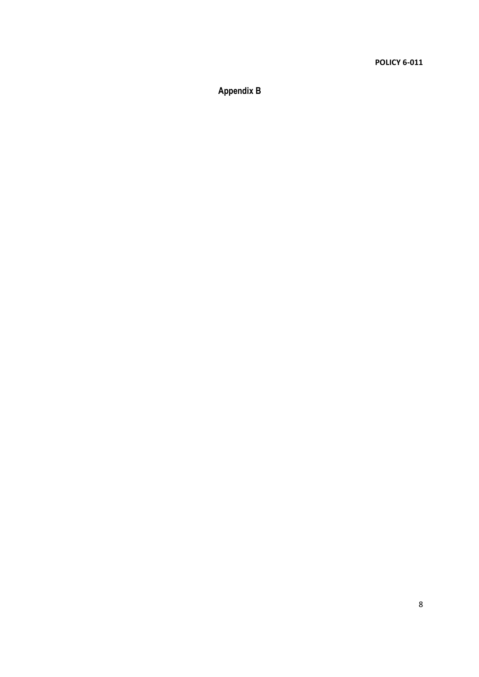**Appendix B**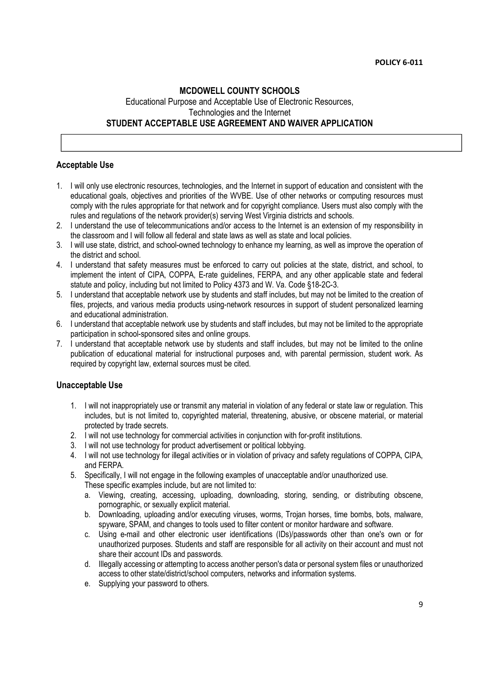# **MCDOWELL COUNTY SCHOOLS** Educational Purpose and Acceptable Use of Electronic Resources, Technologies and the Internet **STUDENT ACCEPTABLE USE AGREEMENT AND WAIVER APPLICATION**

### **Acceptable Use**

- 1. I will only use electronic resources, technologies, and the Internet in support of education and consistent with the educational goals, objectives and priorities of the WVBE. Use of other networks or computing resources must comply with the rules appropriate for that network and for copyright compliance. Users must also comply with the rules and regulations of the network provider(s) serving West Virginia districts and schools.
- 2. I understand the use of telecommunications and/or access to the Internet is an extension of my responsibility in the classroom and I will follow all federal and state laws as well as state and local policies.
- 3. I will use state, district, and school-owned technology to enhance my learning, as well as improve the operation of the district and school.
- 4. I understand that safety measures must be enforced to carry out policies at the state, district, and school, to implement the intent of CIPA, COPPA, E-rate guidelines, FERPA, and any other applicable state and federal statute and policy, including but not limited to Policy 4373 and W. Va. Code §18-2C-3.
- 5. I understand that acceptable network use by students and staff includes, but may not be limited to the creation of files, projects, and various media products using-network resources in support of student personalized learning and educational administration.
- 6. I understand that acceptable network use by students and staff includes, but may not be limited to the appropriate participation in school-sponsored sites and online groups.
- 7. I understand that acceptable network use by students and staff includes, but may not be limited to the online publication of educational material for instructional purposes and, with parental permission, student work. As required by copyright law, external sources must be cited.

### **Unacceptable Use**

- 1. I will not inappropriately use or transmit any material in violation of any federal or state law or regulation. This includes, but is not limited to, copyrighted material, threatening, abusive, or obscene material, or material protected by trade secrets.
- 2. I will not use technology for commercial activities in conjunction with for-profit institutions.
- 3. I will not use technology for product advertisement or political lobbying.
- 4. I will not use technology for illegal activities or in violation of privacy and safety regulations of COPPA, CIPA, and FERPA.
- 5. Specifically, I will not engage in the following examples of unacceptable and/or unauthorized use. These specific examples include, but are not limited to:
	- a. Viewing, creating, accessing, uploading, downloading, storing, sending, or distributing obscene, pornographic, or sexually explicit material.
	- b. Downloading, uploading and/or executing viruses, worms, Trojan horses, time bombs, bots, malware, spyware, SPAM, and changes to tools used to filter content or monitor hardware and software.
	- c. Using e-mail and other electronic user identifications (IDs)/passwords other than one's own or for unauthorized purposes. Students and staff are responsible for all activity on their account and must not share their account IDs and passwords.
	- d. Illegally accessing or attempting to access another person's data or personal system files or unauthorized access to other state/district/school computers, networks and information systems.
	- e. Supplying your password to others.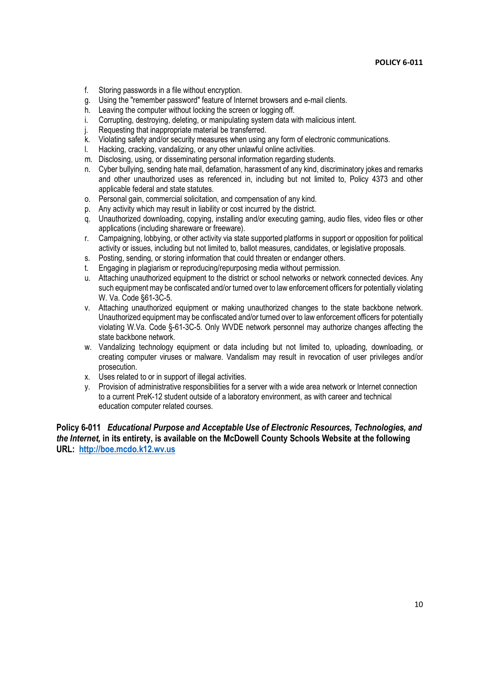- f. Storing passwords in a file without encryption.
- g. Using the "remember password" feature of Internet browsers and e-mail clients.
- h. Leaving the computer without locking the screen or logging off.
- i. Corrupting, destroying, deleting, or manipulating system data with malicious intent.<br>j. Requesting that inappropriate material be transferred.
- Requesting that inappropriate material be transferred.
- k. Violating safety and/or security measures when using any form of electronic communications.
- l. Hacking, cracking, vandalizing, or any other unlawful online activities.
- m. Disclosing, using, or disseminating personal information regarding students.
- n. Cyber bullying, sending hate mail, defamation, harassment of any kind, discriminatory jokes and remarks and other unauthorized uses as referenced in, including but not limited to, Policy 4373 and other applicable federal and state statutes.
- o. Personal gain, commercial solicitation, and compensation of any kind.
- p. Any activity which may result in liability or cost incurred by the district.
- q. Unauthorized downloading, copying, installing and/or executing gaming, audio files, video files or other applications (including shareware or freeware).
- r. Campaigning, lobbying, or other activity via state supported platforms in support or opposition for political activity or issues, including but not limited to, ballot measures, candidates, or legislative proposals.
- s. Posting, sending, or storing information that could threaten or endanger others.
- t. Engaging in plagiarism or reproducing/repurposing media without permission.
- u. Attaching unauthorized equipment to the district or school networks or network connected devices. Any such equipment may be confiscated and/or turned over to law enforcement officers for potentially violating W. Va. Code §61-3C-5.
- v. Attaching unauthorized equipment or making unauthorized changes to the state backbone network. Unauthorized equipment may be confiscated and/or turned over to law enforcement officers for potentially violating W.Va. Code §-61-3C-5. Only WVDE network personnel may authorize changes affecting the state backbone network.
- w. Vandalizing technology equipment or data including but not limited to, uploading, downloading, or creating computer viruses or malware. Vandalism may result in revocation of user privileges and/or prosecution.
- x. Uses related to or in support of illegal activities.
- y. Provision of administrative responsibilities for a server with a wide area network or Internet connection to a current PreK-12 student outside of a laboratory environment, as with career and technical education computer related courses.

**Policy 6-011** *Educational Purpose and Acceptable Use of Electronic Resources, Technologies, and the Internet,* **in its entirety, is available on the McDowell County Schools Website at the following URL: http://boe.mcdo.k12.wv.us**